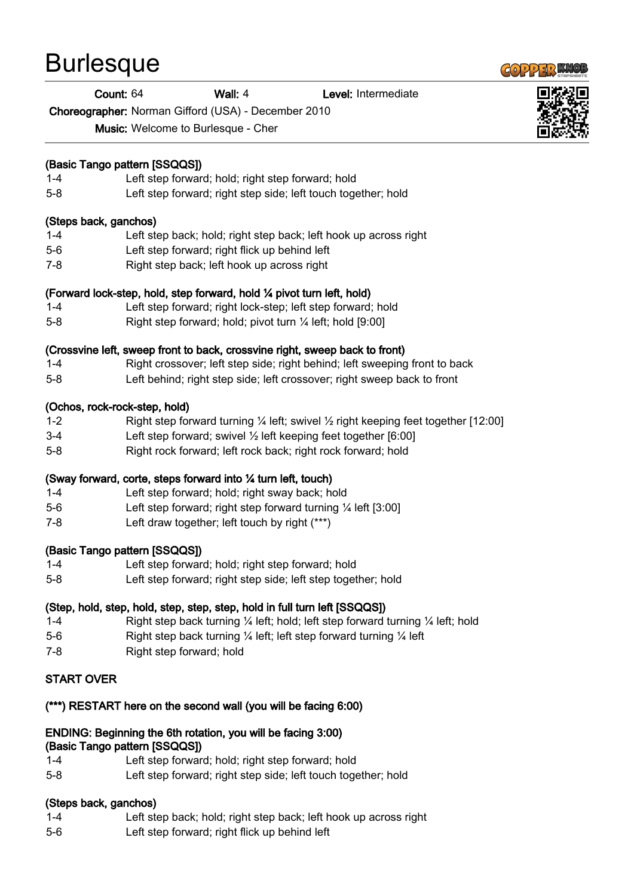# **Burlesque**

#### Count: 64 Wall: 4 Level: Intermediate

Choreographer: Norman Gifford (USA) - December 2010

Music: Welcome to Burlesque - Cher

## (Basic Tango pattern [SSQQS])

- 1-4 Left step forward; hold; right step forward; hold
- 5-8 Left step forward; right step side; left touch together; hold

#### (Steps back, ganchos)

- 1-4 Left step back; hold; right step back; left hook up across right
- 5-6 Left step forward; right flick up behind left
- 7-8 Right step back; left hook up across right

## (Forward lock-step, hold, step forward, hold ¼ pivot turn left, hold)

- 1-4 Left step forward; right lock-step; left step forward; hold
- 5-8 Right step forward; hold; pivot turn ¼ left; hold [9:00]

## (Crossvine left, sweep front to back, crossvine right, sweep back to front)

- 1-4 Right crossover; left step side; right behind; left sweeping front to back
- 5-8 Left behind; right step side; left crossover; right sweep back to front

## (Ochos, rock-rock-step, hold)

- 1-2 Right step forward turning ¼ left; swivel ½ right keeping feet together [12:00]
- 3-4 Left step forward; swivel ½ left keeping feet together [6:00]
- 5-8 Right rock forward; left rock back; right rock forward; hold

# (Sway forward, corte, steps forward into ¼ turn left, touch)

- 1-4 Left step forward; hold; right sway back; hold
- 5-6 Left step forward; right step forward turning ¼ left [3:00]
- 7-8 Left draw together; left touch by right (\*\*\*)

#### (Basic Tango pattern [SSQQS])

- 1-4 Left step forward; hold; right step forward; hold
- 5-8 Left step forward; right step side; left step together; hold

# (Step, hold, step, hold, step, step, step, hold in full turn left [SSQQS])

- 1-4 Right step back turning ¼ left; hold; left step forward turning ¼ left; hold
- 5-6 Right step back turning ¼ left; left step forward turning ¼ left
- 7-8 Right step forward; hold

# START OVER

#### (\*\*\*) RESTART here on the second wall (you will be facing 6:00)

#### ENDING: Beginning the 6th rotation, you will be facing 3:00) (Basic Tango pattern [SSQQS])

- 1-4 Left step forward; hold; right step forward; hold
- 5-8 Left step forward; right step side; left touch together; hold

# (Steps back, ganchos)

- 1-4 Left step back; hold; right step back; left hook up across right
- 5-6 Left step forward; right flick up behind left